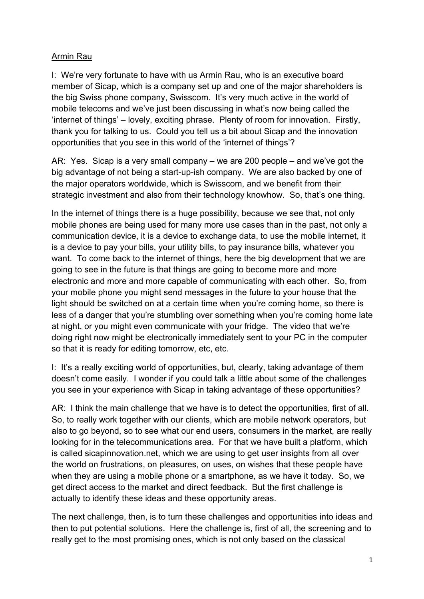## Armin Rau

I: We're very fortunate to have with us Armin Rau, who is an executive board member of Sicap, which is a company set up and one of the major shareholders is the big Swiss phone company, Swisscom. It's very much active in the world of mobile telecoms and we've just been discussing in what's now being called the 'internet of things' – lovely, exciting phrase. Plenty of room for innovation. Firstly, thank you for talking to us. Could you tell us a bit about Sicap and the innovation opportunities that you see in this world of the 'internet of things'?

AR: Yes. Sicap is a very small company – we are 200 people – and we've got the big advantage of not being a start-up-ish company. We are also backed by one of the major operators worldwide, which is Swisscom, and we benefit from their strategic investment and also from their technology knowhow. So, that's one thing.

In the internet of things there is a huge possibility, because we see that, not only mobile phones are being used for many more use cases than in the past, not only a communication device, it is a device to exchange data, to use the mobile internet, it is a device to pay your bills, your utility bills, to pay insurance bills, whatever you want. To come back to the internet of things, here the big development that we are going to see in the future is that things are going to become more and more electronic and more and more capable of communicating with each other. So, from your mobile phone you might send messages in the future to your house that the light should be switched on at a certain time when you're coming home, so there is less of a danger that you're stumbling over something when you're coming home late at night, or you might even communicate with your fridge. The video that we're doing right now might be electronically immediately sent to your PC in the computer so that it is ready for editing tomorrow, etc, etc.

I: It's a really exciting world of opportunities, but, clearly, taking advantage of them doesn't come easily. I wonder if you could talk a little about some of the challenges you see in your experience with Sicap in taking advantage of these opportunities?

AR: I think the main challenge that we have is to detect the opportunities, first of all. So, to really work together with our clients, which are mobile network operators, but also to go beyond, so to see what our end users, consumers in the market, are really looking for in the telecommunications area. For that we have built a platform, which is called sicapinnovation.net, which we are using to get user insights from all over the world on frustrations, on pleasures, on uses, on wishes that these people have when they are using a mobile phone or a smartphone, as we have it today. So, we get direct access to the market and direct feedback. But the first challenge is actually to identify these ideas and these opportunity areas.

The next challenge, then, is to turn these challenges and opportunities into ideas and then to put potential solutions. Here the challenge is, first of all, the screening and to really get to the most promising ones, which is not only based on the classical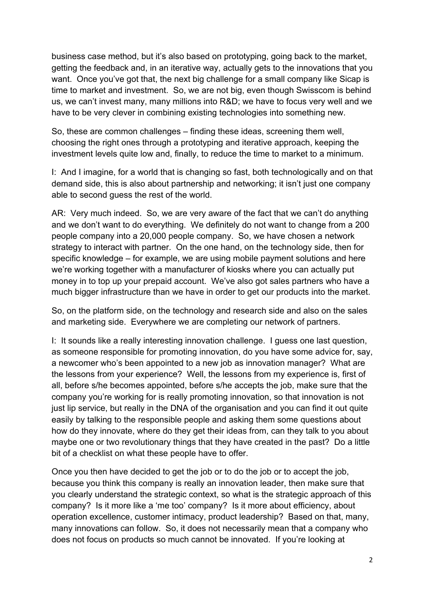business case method, but it's also based on prototyping, going back to the market, getting the feedback and, in an iterative way, actually gets to the innovations that you want. Once you've got that, the next big challenge for a small company like Sicap is time to market and investment. So, we are not big, even though Swisscom is behind us, we can't invest many, many millions into R&D; we have to focus very well and we have to be very clever in combining existing technologies into something new.

So, these are common challenges – finding these ideas, screening them well, choosing the right ones through a prototyping and iterative approach, keeping the investment levels quite low and, finally, to reduce the time to market to a minimum.

I: And I imagine, for a world that is changing so fast, both technologically and on that demand side, this is also about partnership and networking; it isn't just one company able to second guess the rest of the world.

AR: Very much indeed. So, we are very aware of the fact that we can't do anything and we don't want to do everything. We definitely do not want to change from a 200 people company into a 20,000 people company. So, we have chosen a network strategy to interact with partner. On the one hand, on the technology side, then for specific knowledge – for example, we are using mobile payment solutions and here we're working together with a manufacturer of kiosks where you can actually put money in to top up your prepaid account. We've also got sales partners who have a much bigger infrastructure than we have in order to get our products into the market.

So, on the platform side, on the technology and research side and also on the sales and marketing side. Everywhere we are completing our network of partners.

I: It sounds like a really interesting innovation challenge. I guess one last question, as someone responsible for promoting innovation, do you have some advice for, say, a newcomer who's been appointed to a new job as innovation manager? What are the lessons from your experience? Well, the lessons from my experience is, first of all, before s/he becomes appointed, before s/he accepts the job, make sure that the company you're working for is really promoting innovation, so that innovation is not just lip service, but really in the DNA of the organisation and you can find it out quite easily by talking to the responsible people and asking them some questions about how do they innovate, where do they get their ideas from, can they talk to you about maybe one or two revolutionary things that they have created in the past? Do a little bit of a checklist on what these people have to offer.

Once you then have decided to get the job or to do the job or to accept the job, because you think this company is really an innovation leader, then make sure that you clearly understand the strategic context, so what is the strategic approach of this company? Is it more like a 'me too' company? Is it more about efficiency, about operation excellence, customer intimacy, product leadership? Based on that, many, many innovations can follow. So, it does not necessarily mean that a company who does not focus on products so much cannot be innovated. If you're looking at